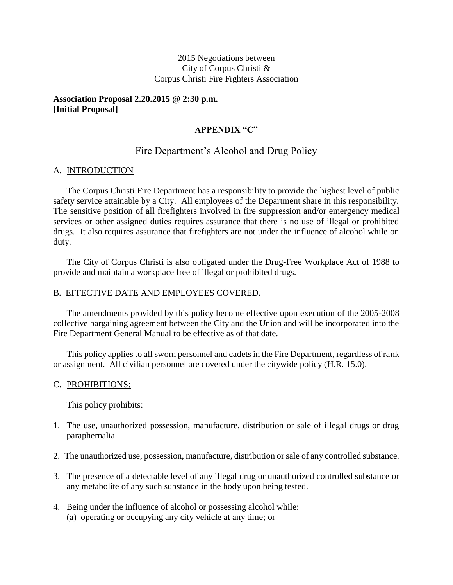### 2015 Negotiations between City of Corpus Christi & Corpus Christi Fire Fighters Association

### **Association Proposal 2.20.2015 @ 2:30 p.m. [Initial Proposal]**

### **APPENDIX "C"**

# Fire Department's Alcohol and Drug Policy

### A. INTRODUCTION

The Corpus Christi Fire Department has a responsibility to provide the highest level of public safety service attainable by a City. All employees of the Department share in this responsibility. The sensitive position of all firefighters involved in fire suppression and/or emergency medical services or other assigned duties requires assurance that there is no use of illegal or prohibited drugs. It also requires assurance that firefighters are not under the influence of alcohol while on duty.

The City of Corpus Christi is also obligated under the Drug-Free Workplace Act of 1988 to provide and maintain a workplace free of illegal or prohibited drugs.

#### B. EFFECTIVE DATE AND EMPLOYEES COVERED.

The amendments provided by this policy become effective upon execution of the 2005-2008 collective bargaining agreement between the City and the Union and will be incorporated into the Fire Department General Manual to be effective as of that date.

This policy applies to all sworn personnel and cadets in the Fire Department, regardless of rank or assignment. All civilian personnel are covered under the citywide policy (H.R. 15.0).

#### C. PROHIBITIONS:

This policy prohibits:

- 1. The use, unauthorized possession, manufacture, distribution or sale of illegal drugs or drug paraphernalia.
- 2. The unauthorized use, possession, manufacture, distribution or sale of any controlled substance.
- 3. The presence of a detectable level of any illegal drug or unauthorized controlled substance or any metabolite of any such substance in the body upon being tested.
- 4. Being under the influence of alcohol or possessing alcohol while: (a) operating or occupying any city vehicle at any time; or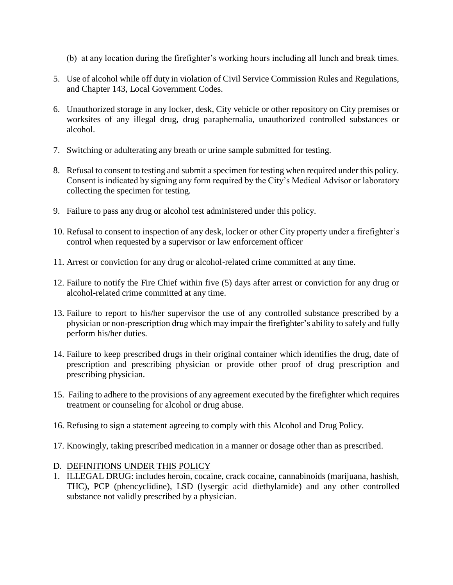- (b) at any location during the firefighter's working hours including all lunch and break times.
- 5. Use of alcohol while off duty in violation of Civil Service Commission Rules and Regulations, and Chapter 143, Local Government Codes.
- 6. Unauthorized storage in any locker, desk, City vehicle or other repository on City premises or worksites of any illegal drug, drug paraphernalia, unauthorized controlled substances or alcohol.
- 7. Switching or adulterating any breath or urine sample submitted for testing.
- 8. Refusal to consent to testing and submit a specimen for testing when required under this policy. Consent is indicated by signing any form required by the City's Medical Advisor or laboratory collecting the specimen for testing.
- 9. Failure to pass any drug or alcohol test administered under this policy.
- 10. Refusal to consent to inspection of any desk, locker or other City property under a firefighter's control when requested by a supervisor or law enforcement officer
- 11. Arrest or conviction for any drug or alcohol-related crime committed at any time.
- 12. Failure to notify the Fire Chief within five (5) days after arrest or conviction for any drug or alcohol-related crime committed at any time.
- 13. Failure to report to his/her supervisor the use of any controlled substance prescribed by a physician or non-prescription drug which may impair the firefighter's ability to safely and fully perform his/her duties.
- 14. Failure to keep prescribed drugs in their original container which identifies the drug, date of prescription and prescribing physician or provide other proof of drug prescription and prescribing physician.
- 15. Failing to adhere to the provisions of any agreement executed by the firefighter which requires treatment or counseling for alcohol or drug abuse.
- 16. Refusing to sign a statement agreeing to comply with this Alcohol and Drug Policy.
- 17. Knowingly, taking prescribed medication in a manner or dosage other than as prescribed.

# D. DEFINITIONS UNDER THIS POLICY

1. ILLEGAL DRUG: includes heroin, cocaine, crack cocaine, cannabinoids (marijuana, hashish, THC), PCP (phencyclidine), LSD (lysergic acid diethylamide) and any other controlled substance not validly prescribed by a physician.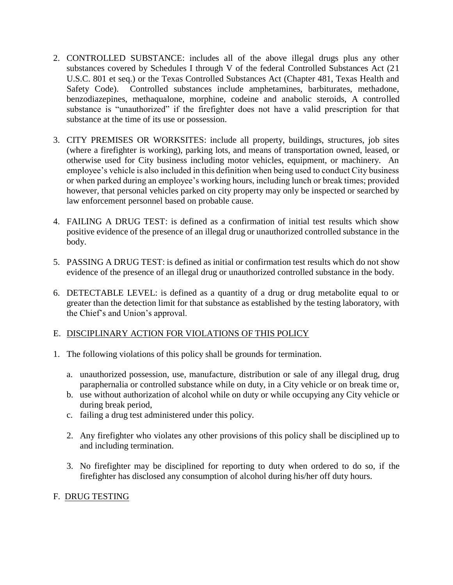- 2. CONTROLLED SUBSTANCE: includes all of the above illegal drugs plus any other substances covered by Schedules I through V of the federal Controlled Substances Act (21 U.S.C. 801 et seq.) or the Texas Controlled Substances Act (Chapter 481, Texas Health and Safety Code). Controlled substances include amphetamines, barbiturates, methadone, benzodiazepines, methaqualone, morphine, codeine and anabolic steroids, A controlled substance is "unauthorized" if the firefighter does not have a valid prescription for that substance at the time of its use or possession.
- 3. CITY PREMISES OR WORKSITES: include all property, buildings, structures, job sites (where a firefighter is working), parking lots, and means of transportation owned, leased, or otherwise used for City business including motor vehicles, equipment, or machinery. An employee's vehicle is also included in this definition when being used to conduct City business or when parked during an employee's working hours, including lunch or break times; provided however, that personal vehicles parked on city property may only be inspected or searched by law enforcement personnel based on probable cause.
- 4. FAILING A DRUG TEST: is defined as a confirmation of initial test results which show positive evidence of the presence of an illegal drug or unauthorized controlled substance in the body.
- 5. PASSING A DRUG TEST: is defined as initial or confirmation test results which do not show evidence of the presence of an illegal drug or unauthorized controlled substance in the body.
- 6. DETECTABLE LEVEL: is defined as a quantity of a drug or drug metabolite equal to or greater than the detection limit for that substance as established by the testing laboratory, with the Chief's and Union's approval.

# E. DISCIPLINARY ACTION FOR VIOLATIONS OF THIS POLICY

- 1. The following violations of this policy shall be grounds for termination.
	- a. unauthorized possession, use, manufacture, distribution or sale of any illegal drug, drug paraphernalia or controlled substance while on duty, in a City vehicle or on break time or,
	- b. use without authorization of alcohol while on duty or while occupying any City vehicle or during break period,
	- c. failing a drug test administered under this policy.
	- 2. Any firefighter who violates any other provisions of this policy shall be disciplined up to and including termination.
	- 3. No firefighter may be disciplined for reporting to duty when ordered to do so, if the firefighter has disclosed any consumption of alcohol during his/her off duty hours.

# F. DRUG TESTING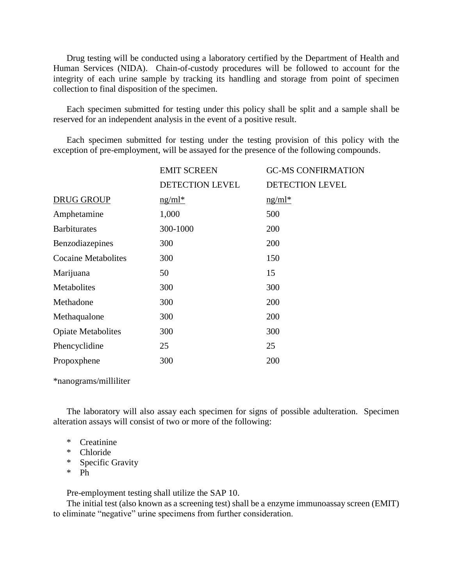Drug testing will be conducted using a laboratory certified by the Department of Health and Human Services (NIDA). Chain-of-custody procedures will be followed to account for the integrity of each urine sample by tracking its handling and storage from point of specimen collection to final disposition of the specimen.

Each specimen submitted for testing under this policy shall be split and a sample shall be reserved for an independent analysis in the event of a positive result.

Each specimen submitted for testing under the testing provision of this policy with the exception of pre-employment, will be assayed for the presence of the following compounds.

|                            | <b>EMIT SCREEN</b>     | <b>GC-MS CONFIRMATION</b> |
|----------------------------|------------------------|---------------------------|
|                            | <b>DETECTION LEVEL</b> | <b>DETECTION LEVEL</b>    |
| <b>DRUG GROUP</b>          | $ng/ml*$               | $ng/ml*$                  |
| Amphetamine                | 1,000                  | 500                       |
| <b>Barbiturates</b>        | 300-1000               | 200                       |
| Benzodiazepines            | 300                    | 200                       |
| <b>Cocaine Metabolites</b> | 300                    | 150                       |
| Marijuana                  | 50                     | 15                        |
| Metabolites                | 300                    | 300                       |
| Methadone                  | 300                    | 200                       |
| Methaqualone               | 300                    | 200                       |
| <b>Opiate Metabolites</b>  | 300                    | 300                       |
| Phencyclidine              | 25                     | 25                        |
| Propoxphene                | 300                    | 200                       |

\*nanograms/milliliter

The laboratory will also assay each specimen for signs of possible adulteration. Specimen alteration assays will consist of two or more of the following:

- \* Creatinine
- \* Chloride
- \* Specific Gravity
- \* Ph

Pre-employment testing shall utilize the SAP 10.

The initial test (also known as a screening test) shall be a enzyme immunoassay screen (EMIT) to eliminate "negative" urine specimens from further consideration.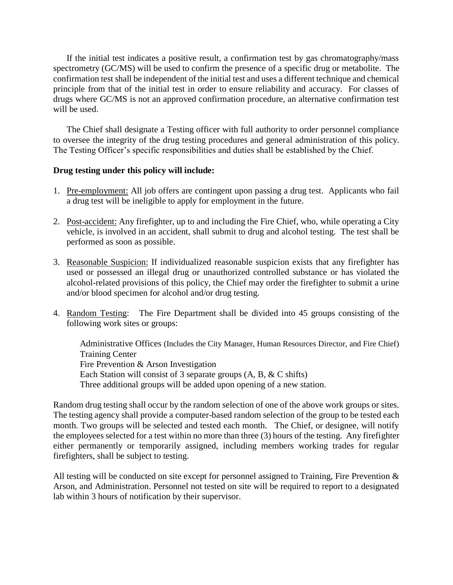If the initial test indicates a positive result, a confirmation test by gas chromatography/mass spectrometry (GC/MS) will be used to confirm the presence of a specific drug or metabolite. The confirmation test shall be independent of the initial test and uses a different technique and chemical principle from that of the initial test in order to ensure reliability and accuracy. For classes of drugs where GC/MS is not an approved confirmation procedure, an alternative confirmation test will be used.

The Chief shall designate a Testing officer with full authority to order personnel compliance to oversee the integrity of the drug testing procedures and general administration of this policy. The Testing Officer's specific responsibilities and duties shall be established by the Chief.

### **Drug testing under this policy will include:**

- 1. Pre-employment: All job offers are contingent upon passing a drug test. Applicants who fail a drug test will be ineligible to apply for employment in the future.
- 2. Post-accident: Any firefighter, up to and including the Fire Chief, who, while operating a City vehicle, is involved in an accident, shall submit to drug and alcohol testing. The test shall be performed as soon as possible.
- 3. Reasonable Suspicion: If individualized reasonable suspicion exists that any firefighter has used or possessed an illegal drug or unauthorized controlled substance or has violated the alcohol-related provisions of this policy, the Chief may order the firefighter to submit a urine and/or blood specimen for alcohol and/or drug testing.
- 4. Random Testing: The Fire Department shall be divided into 45 groups consisting of the following work sites or groups:

Administrative Offices (Includes the City Manager, Human Resources Director, and Fire Chief) Training Center Fire Prevention & Arson Investigation Each Station will consist of 3 separate groups  $(A, B, \& C \text{ shifts})$ Three additional groups will be added upon opening of a new station.

Random drug testing shall occur by the random selection of one of the above work groups or sites. The testing agency shall provide a computer-based random selection of the group to be tested each month. Two groups will be selected and tested each month. The Chief, or designee, will notify the employees selected for a test within no more than three (3) hours of the testing. Any firefighter either permanently or temporarily assigned, including members working trades for regular firefighters, shall be subject to testing.

All testing will be conducted on site except for personnel assigned to Training, Fire Prevention & Arson, and Administration. Personnel not tested on site will be required to report to a designated lab within 3 hours of notification by their supervisor.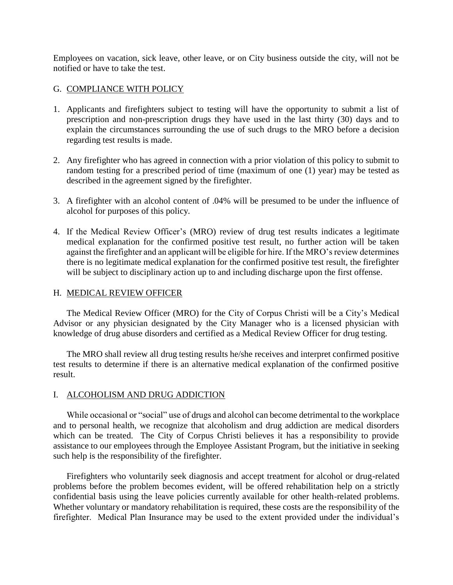Employees on vacation, sick leave, other leave, or on City business outside the city, will not be notified or have to take the test.

### G. COMPLIANCE WITH POLICY

- 1. Applicants and firefighters subject to testing will have the opportunity to submit a list of prescription and non-prescription drugs they have used in the last thirty (30) days and to explain the circumstances surrounding the use of such drugs to the MRO before a decision regarding test results is made.
- 2. Any firefighter who has agreed in connection with a prior violation of this policy to submit to random testing for a prescribed period of time (maximum of one (1) year) may be tested as described in the agreement signed by the firefighter.
- 3. A firefighter with an alcohol content of .04% will be presumed to be under the influence of alcohol for purposes of this policy.
- 4. If the Medical Review Officer's (MRO) review of drug test results indicates a legitimate medical explanation for the confirmed positive test result, no further action will be taken against the firefighter and an applicant will be eligible for hire. If the MRO's review determines there is no legitimate medical explanation for the confirmed positive test result, the firefighter will be subject to disciplinary action up to and including discharge upon the first offense.

### H. MEDICAL REVIEW OFFICER

The Medical Review Officer (MRO) for the City of Corpus Christi will be a City's Medical Advisor or any physician designated by the City Manager who is a licensed physician with knowledge of drug abuse disorders and certified as a Medical Review Officer for drug testing.

The MRO shall review all drug testing results he/she receives and interpret confirmed positive test results to determine if there is an alternative medical explanation of the confirmed positive result.

### I. ALCOHOLISM AND DRUG ADDICTION

While occasional or "social" use of drugs and alcohol can become detrimental to the workplace and to personal health, we recognize that alcoholism and drug addiction are medical disorders which can be treated. The City of Corpus Christi believes it has a responsibility to provide assistance to our employees through the Employee Assistant Program, but the initiative in seeking such help is the responsibility of the firefighter.

Firefighters who voluntarily seek diagnosis and accept treatment for alcohol or drug-related problems before the problem becomes evident, will be offered rehabilitation help on a strictly confidential basis using the leave policies currently available for other health-related problems. Whether voluntary or mandatory rehabilitation is required, these costs are the responsibility of the firefighter. Medical Plan Insurance may be used to the extent provided under the individual's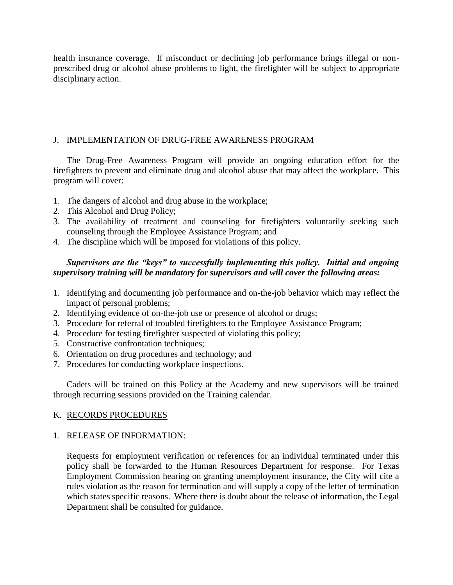health insurance coverage. If misconduct or declining job performance brings illegal or nonprescribed drug or alcohol abuse problems to light, the firefighter will be subject to appropriate disciplinary action.

# J. IMPLEMENTATION OF DRUG-FREE AWARENESS PROGRAM

The Drug-Free Awareness Program will provide an ongoing education effort for the firefighters to prevent and eliminate drug and alcohol abuse that may affect the workplace. This program will cover:

- 1. The dangers of alcohol and drug abuse in the workplace;
- 2. This Alcohol and Drug Policy;
- 3. The availability of treatment and counseling for firefighters voluntarily seeking such counseling through the Employee Assistance Program; and
- 4. The discipline which will be imposed for violations of this policy.

# *Supervisors are the "keys" to successfully implementing this policy. Initial and ongoing supervisory training will be mandatory for supervisors and will cover the following areas:*

- 1. Identifying and documenting job performance and on-the-job behavior which may reflect the impact of personal problems;
- 2. Identifying evidence of on-the-job use or presence of alcohol or drugs;
- 3. Procedure for referral of troubled firefighters to the Employee Assistance Program;
- 4. Procedure for testing firefighter suspected of violating this policy;
- 5. Constructive confrontation techniques;
- 6. Orientation on drug procedures and technology; and
- 7. Procedures for conducting workplace inspections.

Cadets will be trained on this Policy at the Academy and new supervisors will be trained through recurring sessions provided on the Training calendar.

# K. RECORDS PROCEDURES

# 1. RELEASE OF INFORMATION:

Requests for employment verification or references for an individual terminated under this policy shall be forwarded to the Human Resources Department for response. For Texas Employment Commission hearing on granting unemployment insurance, the City will cite a rules violation as the reason for termination and will supply a copy of the letter of termination which states specific reasons. Where there is doubt about the release of information, the Legal Department shall be consulted for guidance.